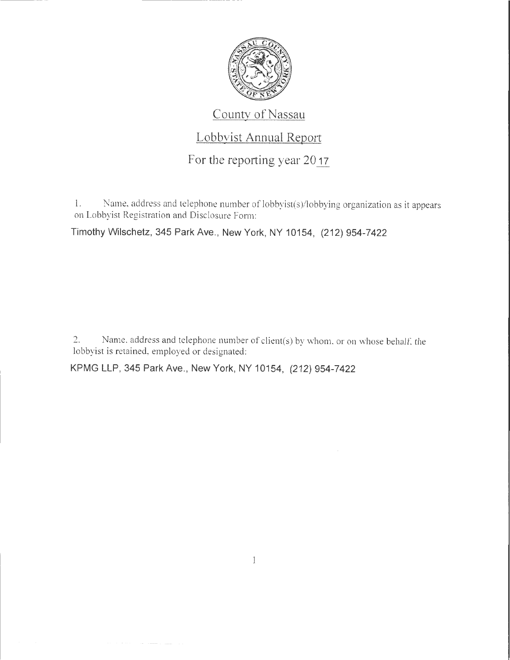

## County of Nassau

## Lobbyist Annual Report

For the reporting year 2017

1. Name, address and telephone number of lobbyist(s)/lobbying organization as it appears on Lobbyist Registration and Disclosure Fonn:

Timothy Wilschetz, 345 Park Ave., New York, NY 10154, (212) 954-7422

2. Name, address and telephone number of client(s) by whom, or on whose behalf, the lobbyist is retained, employed or designated:

KPMG LLP, 345 Park Ave., New York, NY 10154, (212) 954-7422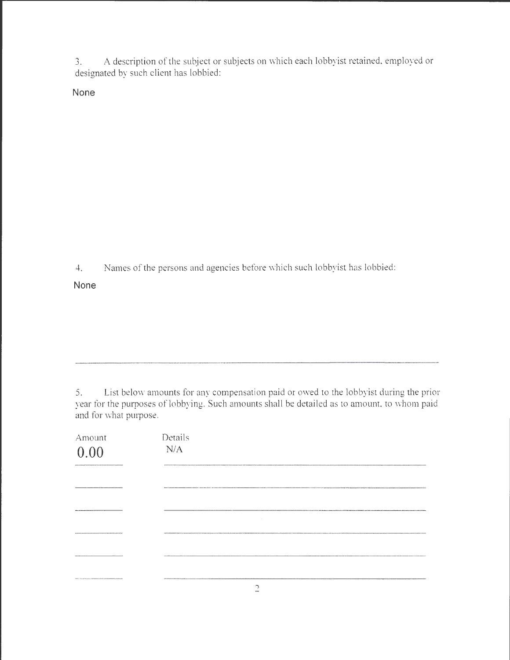3. A description of the subject or subjects on which each lobbyist retained, employed or designated by such client has lobbied:

**None** 

4. Names of the persons and agencies before which such lobbyist has lobbied:

**None** 

5. List below amounts for any compensation paid or owed to the lobbyist during the prior year for the purposes of lobbying. Such amounts shall be detailed as to amount, to whom paid and for what purpose.

| Amount<br>0.00                              | Details<br>N/A |
|---------------------------------------------|----------------|
|                                             |                |
|                                             | $\sim$         |
|                                             |                |
|                                             |                |
| <b>BB-CHILLING ALAN CONTINUES ARABIANAL</b> |                |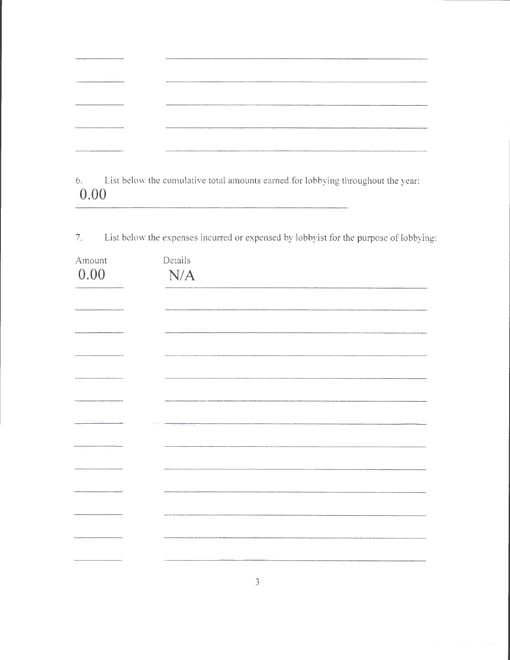|                                                                                                                  | --------------------                                                                                                |
|------------------------------------------------------------------------------------------------------------------|---------------------------------------------------------------------------------------------------------------------|
| an orbe Philadelphia providence and company of the company of the company of the company of the battery<br>_____ |                                                                                                                     |
|                                                                                                                  | .<br>2006. – Alexandri Alexandri Maria Maria Maria Maria Maria Maria Maria Maria Maria Maria Maria Maria Maria Mari |

6. List below the cumulative total amounts earned for lobbying throughout the year: **0.00** 

7. List below the expenses incurred or expensed by lobbyist for the purpose of lobbying:

| Amount | Details |
|--------|---------|
| 0.00   | N/A     |
|        |         |
|        |         |
|        |         |
|        |         |
|        |         |
|        |         |
|        |         |
|        |         |
|        |         |
|        |         |
|        |         |
|        |         |
|        |         |
|        |         |